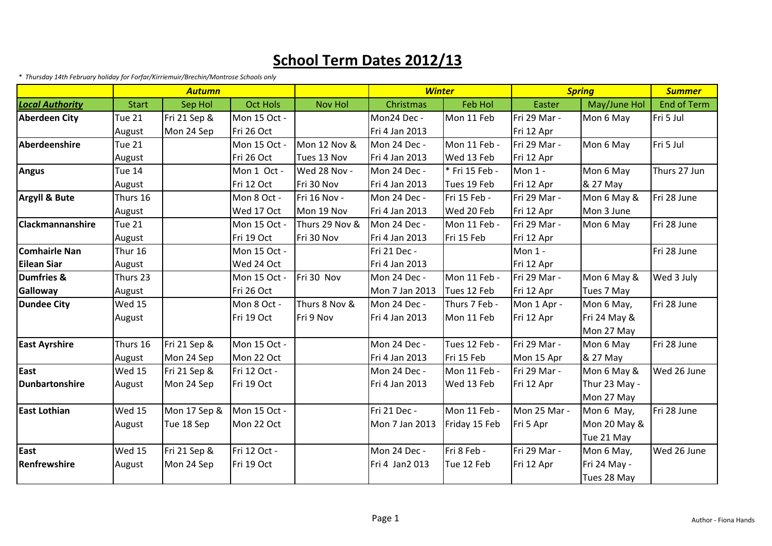## **School Term Dates 2012/13**

*\* Thursday 14th February holiday for Forfar/Kirriemuir/Brechin/Montrose Schools only*

|                          | <b>Autumn</b> |              |                 |                | <b>Winter</b>  |                | <b>Spring</b> |               | <b>Summer</b>      |
|--------------------------|---------------|--------------|-----------------|----------------|----------------|----------------|---------------|---------------|--------------------|
| <b>Local Authority</b>   | <b>Start</b>  | Sep Hol      | <b>Oct Hols</b> | <b>Nov Hol</b> | Christmas      | <b>Feb Hol</b> | Easter        | May/June Hol  | <b>End of Term</b> |
| <b>Aberdeen City</b>     | <b>Tue 21</b> | Fri 21 Sep & | Mon 15 Oct -    |                | Mon24 Dec -    | Mon 11 Feb     | Fri 29 Mar -  | Mon 6 May     | Fri 5 Jul          |
|                          | August        | Mon 24 Sep   | Fri 26 Oct      |                | Fri 4 Jan 2013 |                | Fri 12 Apr    |               |                    |
| Aberdeenshire            | Tue 21        |              | Mon 15 Oct -    | Mon 12 Nov &   | Mon 24 Dec -   | Mon 11 Feb -   | Fri 29 Mar -  | Mon 6 May     | Fri 5 Jul          |
|                          | August        |              | Fri 26 Oct      | Tues 13 Nov    | Fri 4 Jan 2013 | Wed 13 Feb     | Fri 12 Apr    |               |                    |
| <b>Angus</b>             | Tue 14        |              | Mon 1 Oct -     | Wed 28 Nov -   | Mon 24 Dec -   | * Fri 15 Feb - | Mon 1 -       | Mon 6 May     | Thurs 27 Jun       |
|                          | August        |              | Fri 12 Oct      | Fri 30 Nov     | Fri 4 Jan 2013 | Tues 19 Feb    | Fri 12 Apr    | & 27 May      |                    |
| <b>Argyll &amp; Bute</b> | Thurs 16      |              | Mon 8 Oct -     | Fri 16 Nov -   | Mon 24 Dec -   | Fri 15 Feb -   | Fri 29 Mar -  | Mon 6 May &   | Fri 28 June        |
|                          | August        |              | Wed 17 Oct      | Mon 19 Nov     | Fri 4 Jan 2013 | Wed 20 Feb     | Fri 12 Apr    | Mon 3 June    |                    |
| <b>Clackmannanshire</b>  | <b>Tue 21</b> |              | Mon 15 Oct -    | Thurs 29 Nov & | Mon 24 Dec -   | Mon 11 Feb -   | Fri 29 Mar -  | Mon 6 May     | Fri 28 June        |
|                          | August        |              | Fri 19 Oct      | Fri 30 Nov     | Fri 4 Jan 2013 | Fri 15 Feb     | Fri 12 Apr    |               |                    |
| Comhairle Nan            | Thur 16       |              | Mon 15 Oct -    |                | Fri 21 Dec -   |                | Mon 1 -       |               | Fri 28 June        |
| Eilean Siar              | August        |              | Wed 24 Oct      |                | Fri 4 Jan 2013 |                | Fri 12 Apr    |               |                    |
| Dumfries &               | Thurs 23      |              | Mon 15 Oct -    | Fri 30 Nov     | Mon 24 Dec -   | Mon 11 Feb -   | Fri 29 Mar -  | Mon 6 May &   | Wed 3 July         |
| Galloway                 | August        |              | Fri 26 Oct      |                | Mon 7 Jan 2013 | Tues 12 Feb    | Fri 12 Apr    | Tues 7 May    |                    |
| Dundee City              | <b>Wed 15</b> |              | Mon 8 Oct -     | Thurs 8 Nov &  | Mon 24 Dec -   | Thurs 7 Feb -  | Mon 1 Apr -   | Mon 6 May,    | Fri 28 June        |
|                          | August        |              | Fri 19 Oct      | Fri 9 Nov      | Fri 4 Jan 2013 | Mon 11 Feb     | Fri 12 Apr    | Fri 24 May &  |                    |
|                          |               |              |                 |                |                |                |               | Mon 27 May    |                    |
| <b>East Ayrshire</b>     | Thurs 16      | Fri 21 Sep & | Mon 15 Oct -    |                | Mon 24 Dec -   | Tues 12 Feb -  | Fri 29 Mar -  | Mon 6 May     | Fri 28 June        |
|                          | August        | Mon 24 Sep   | Mon 22 Oct      |                | Fri 4 Jan 2013 | Fri 15 Feb     | Mon 15 Apr    | & 27 May      |                    |
| East                     | <b>Wed 15</b> | Fri 21 Sep & | Fri 12 Oct -    |                | Mon 24 Dec -   | Mon 11 Feb -   | Fri 29 Mar -  | Mon 6 May &   | Wed 26 June        |
| Dunbartonshire           | August        | Mon 24 Sep   | Fri 19 Oct      |                | Fri 4 Jan 2013 | Wed 13 Feb     | Fri 12 Apr    | Thur 23 May - |                    |
|                          |               |              |                 |                |                |                |               | Mon 27 May    |                    |
| <b>East Lothian</b>      | <b>Wed 15</b> | Mon 17 Sep & | Mon 15 Oct -    |                | Fri 21 Dec -   | Mon 11 Feb -   | Mon 25 Mar -  | Mon 6 May,    | Fri 28 June        |
|                          | August        | Tue 18 Sep   | Mon 22 Oct      |                | Mon 7 Jan 2013 | Friday 15 Feb  | Fri 5 Apr     | Mon 20 May &  |                    |
|                          |               |              |                 |                |                |                |               | Tue 21 May    |                    |
| East                     | <b>Wed 15</b> | Fri 21 Sep & | Fri 12 Oct -    |                | Mon 24 Dec -   | Fri 8 Feb -    | Fri 29 Mar -  | Mon 6 May,    | Wed 26 June        |
| Renfrewshire             | August        | Mon 24 Sep   | Fri 19 Oct      |                | Fri 4 Jan2 013 | Tue 12 Feb     | Fri 12 Apr    | Fri 24 May -  |                    |
|                          |               |              |                 |                |                |                |               | Tues 28 May   |                    |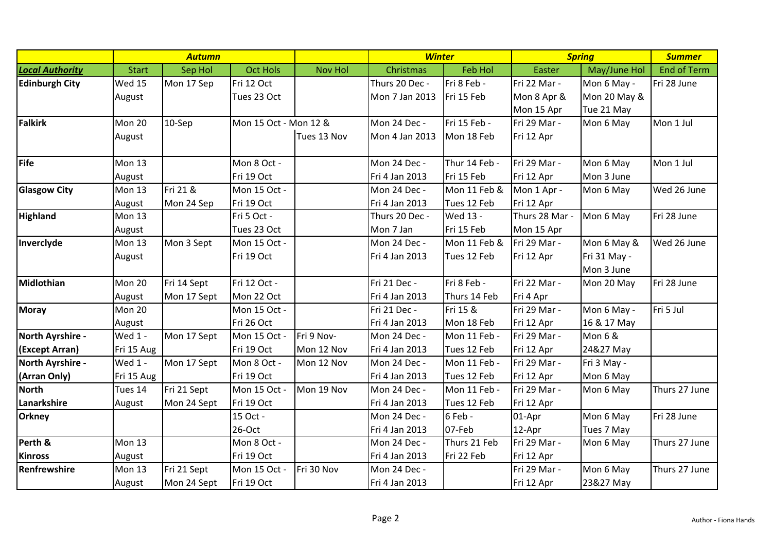|                        | <b>Autumn</b> |             |                       |                | <b>Winter</b>  |                | <b>Spring</b>  |                    | <b>Summer</b>      |
|------------------------|---------------|-------------|-----------------------|----------------|----------------|----------------|----------------|--------------------|--------------------|
| <b>Local Authority</b> | <b>Start</b>  | Sep Hol     | <b>Oct Hols</b>       | <b>Nov Hol</b> | Christmas      | <b>Feb Hol</b> | Easter         | May/June Hol       | <b>End of Term</b> |
| <b>Edinburgh City</b>  | <b>Wed 15</b> | Mon 17 Sep  | Fri 12 Oct            |                | Thurs 20 Dec - | Fri 8 Feb -    | Fri 22 Mar -   | Mon 6 May -        | Fri 28 June        |
|                        | August        |             | Tues 23 Oct           |                | Mon 7 Jan 2013 | Fri 15 Feb     | Mon 8 Apr &    | Mon 20 May &       |                    |
|                        |               |             |                       |                |                |                | Mon 15 Apr     | Tue 21 May         |                    |
| <b>Falkirk</b>         | Mon 20        | 10-Sep      | Mon 15 Oct - Mon 12 & |                | Mon 24 Dec -   | Fri 15 Feb -   | Fri 29 Mar -   | Mon 6 May          | Mon 1 Jul          |
|                        | August        |             |                       | Tues 13 Nov    | Mon 4 Jan 2013 | Mon 18 Feb     | Fri 12 Apr     |                    |                    |
|                        |               |             |                       |                |                |                |                |                    |                    |
| Fife                   | Mon 13        |             | Mon 8 Oct -           |                | Mon 24 Dec -   | Thur 14 Feb -  | Fri 29 Mar -   | Mon 6 May          | Mon 1 Jul          |
|                        | August        |             | Fri 19 Oct            |                | Fri 4 Jan 2013 | Fri 15 Feb     | Fri 12 Apr     | Mon 3 June         |                    |
| <b>Glasgow City</b>    | <b>Mon 13</b> | Fri 21 &    | Mon 15 Oct -          |                | Mon 24 Dec -   | Mon 11 Feb &   | Mon 1 Apr -    | Mon 6 May          | Wed 26 June        |
|                        | August        | Mon 24 Sep  | Fri 19 Oct            |                | Fri 4 Jan 2013 | Tues 12 Feb    | Fri 12 Apr     |                    |                    |
| <b>Highland</b>        | <b>Mon 13</b> |             | Fri 5 Oct -           |                | Thurs 20 Dec - | Wed 13 -       | Thurs 28 Mar - | Mon 6 May          | Fri 28 June        |
|                        | August        |             | Tues 23 Oct           |                | Mon 7 Jan      | Fri 15 Feb     | Mon 15 Apr     |                    |                    |
| Inverclyde             | Mon 13        | Mon 3 Sept  | Mon 15 Oct -          |                | Mon 24 Dec -   | Mon 11 Feb &   | Fri 29 Mar -   | Mon 6 May &        | Wed 26 June        |
|                        | August        |             | Fri 19 Oct            |                | Fri 4 Jan 2013 | Tues 12 Feb    | Fri 12 Apr     | Fri 31 May -       |                    |
|                        |               |             |                       |                |                |                |                | Mon 3 June         |                    |
| Midlothian             | Mon 20        | Fri 14 Sept | Fri 12 Oct -          |                | Fri 21 Dec -   | Fri 8 Feb -    | Fri 22 Mar -   | Mon 20 May         | Fri 28 June        |
|                        | August        | Mon 17 Sept | Mon 22 Oct            |                | Fri 4 Jan 2013 | Thurs 14 Feb   | Fri 4 Apr      |                    |                    |
| <b>Moray</b>           | Mon 20        |             | Mon 15 Oct -          |                | Fri 21 Dec -   | Fri 15 &       | Fri 29 Mar -   | Mon 6 May -        | Fri 5 Jul          |
|                        | August        |             | Fri 26 Oct            |                | Fri 4 Jan 2013 | Mon 18 Feb     | Fri 12 Apr     | 16 & 17 May        |                    |
| North Ayrshire -       | Wed 1 -       | Mon 17 Sept | Mon 15 Oct -          | Fri 9 Nov-     | Mon 24 Dec -   | Mon 11 Feb -   | Fri 29 Mar -   | <b>Mon 6 &amp;</b> |                    |
| (Except Arran)         | Fri 15 Aug    |             | Fri 19 Oct            | Mon 12 Nov     | Fri 4 Jan 2013 | Tues 12 Feb    | Fri 12 Apr     | 24&27 May          |                    |
| North Ayrshire -       | Wed 1 -       | Mon 17 Sept | Mon 8 Oct -           | Mon 12 Nov     | Mon 24 Dec -   | Mon 11 Feb -   | Fri 29 Mar -   | Fri 3 May -        |                    |
| (Arran Only)           | Fri 15 Aug    |             | Fri 19 Oct            |                | Fri 4 Jan 2013 | Tues 12 Feb    | Fri 12 Apr     | Mon 6 May          |                    |
| <b>North</b>           | Tues 14       | Fri 21 Sept | Mon 15 Oct -          | Mon 19 Nov     | Mon 24 Dec -   | Mon 11 Feb -   | Fri 29 Mar -   | Mon 6 May          | Thurs 27 June      |
| Lanarkshire            | August        | Mon 24 Sept | Fri 19 Oct            |                | Fri 4 Jan 2013 | Tues 12 Feb    | Fri 12 Apr     |                    |                    |
| <b>Orkney</b>          |               |             | 15 Oct -              |                | Mon 24 Dec -   | 6 Feb -        | 01-Apr         | Mon 6 May          | Fri 28 June        |
|                        |               |             | 26-Oct                |                | Fri 4 Jan 2013 | 07-Feb         | 12-Apr         | Tues 7 May         |                    |
| Perth &                | Mon 13        |             | Mon 8 Oct -           |                | Mon 24 Dec -   | Thurs 21 Feb   | Fri 29 Mar -   | Mon 6 May          | Thurs 27 June      |
| <b>Kinross</b>         | August        |             | Fri 19 Oct            |                | Fri 4 Jan 2013 | Fri 22 Feb     | Fri 12 Apr     |                    |                    |
| Renfrewshire           | Mon 13        | Fri 21 Sept | Mon 15 Oct -          | Fri 30 Nov     | Mon 24 Dec -   |                | Fri 29 Mar -   | Mon 6 May          | Thurs 27 June      |
|                        | August        | Mon 24 Sept | Fri 19 Oct            |                | Fri 4 Jan 2013 |                | Fri 12 Apr     | 23&27 May          |                    |